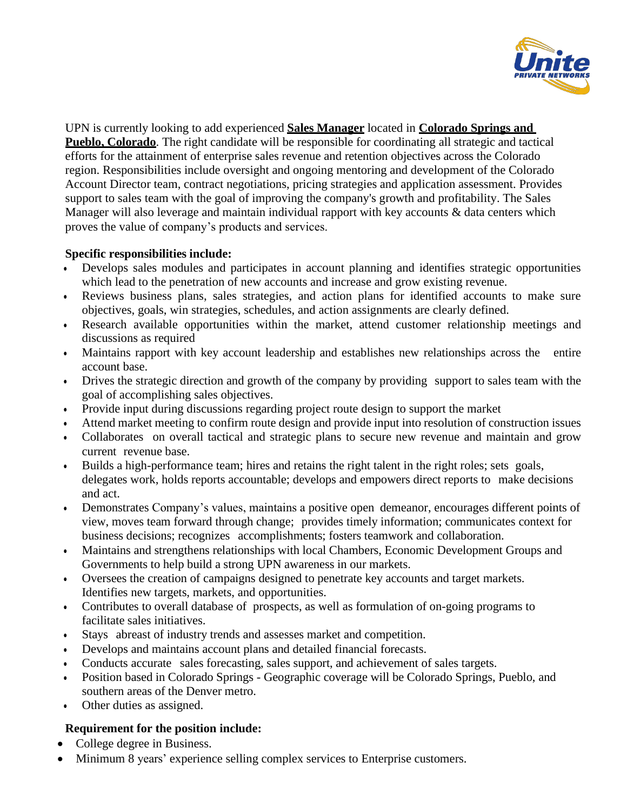

UPN is currently looking to add experienced **Sales Manager** located in **Colorado Springs and Pueblo, Colorado**. The right candidate will be responsible for coordinating all strategic and tactical efforts for the attainment of enterprise sales revenue and retention objectives across the Colorado region. Responsibilities include oversight and ongoing mentoring and development of the Colorado Account Director team, contract negotiations, pricing strategies and application assessment. Provides support to sales team with the goal of improving the company's growth and profitability. The Sales Manager will also leverage and maintain individual rapport with key accounts & data centers which proves the value of company's products and services.

## **Specific responsibilities include:**

- Develops sales modules and participates in account planning and identifies strategic opportunities which lead to the penetration of new accounts and increase and grow existing revenue.
- Reviews business plans, sales strategies, and action plans for identified accounts to make sure objectives, goals, win strategies, schedules, and action assignments are clearly defined.
- Research available opportunities within the market, attend customer relationship meetings and discussions as required
- Maintains rapport with key account leadership and establishes new relationships across the entire account base.
- Drives the strategic direction and growth of the company by providing support to sales team with the goal of accomplishing sales objectives.
- Provide input during discussions regarding project route design to support the market
- Attend market meeting to confirm route design and provide input into resolution of construction issues
- Collaborates on overall tactical and strategic plans to secure new revenue and maintain and grow current revenue base.
- Builds a high-performance team; hires and retains the right talent in the right roles; sets goals, delegates work, holds reports accountable; develops and empowers direct reports to make decisions and act.
- Demonstrates Company's values, maintains a positive open demeanor, encourages different points of view, moves team forward through change; provides timely information; communicates context for business decisions; recognizes accomplishments; fosters teamwork and collaboration.
- Maintains and strengthens relationships with local Chambers, Economic Development Groups and Governments to help build a strong UPN awareness in our markets.
- Oversees the creation of campaigns designed to penetrate key accounts and target markets. Identifies new targets, markets, and opportunities.
- Contributes to overall database of prospects, as well as formulation of on-going programs to facilitate sales initiatives.
- Stays abreast of industry trends and assesses market and competition.
- Develops and maintains account plans and detailed financial forecasts.
- Conducts accurate sales forecasting, sales support, and achievement of sales targets.
- Position based in Colorado Springs Geographic coverage will be Colorado Springs, Pueblo, and southern areas of the Denver metro.
- Other duties as assigned.

## **Requirement for the position include:**

- College degree in Business.
- Minimum 8 years' experience selling complex services to Enterprise customers.